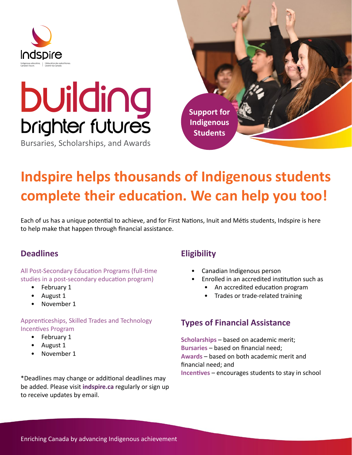

# **building**<br>**brighter futures**

Bursaries, Scholarships, and Awards



## **Indspire helps thousands of Indigenous students complete their education. We can help you too!**

Each of us has a unique potential to achieve, and for First Nations, Inuit and Métis students, Indspire is here to help make that happen through financial assistance.

### **Deadlines**

All Post-Secondary Education Programs (full-time studies in a post-secondary education program)

- February 1
- August 1
- November 1

#### Apprenticeships, Skilled Trades and Technology Incentives Program

- February 1
- August 1
- November 1

\*Deadlines may change or additional deadlines may be added. Please visit **indspire.ca** regularly or sign up to receive updates by email.

### **Eligibility**

- Canadian Indigenous person
- Enrolled in an accredited institution such as
	- An accredited education program
	- Trades or trade-related training

#### **Types of Financial Assistance**

**Scholarships** – based on academic merit; **Bursaries** – based on financial need; **Awards** – based on both academic merit and financial need; and **Incentives** – encourages students to stay in school